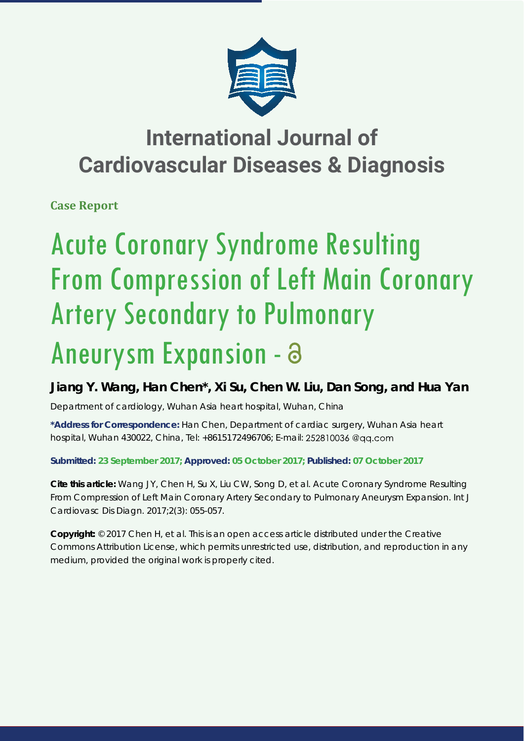

## **International Journal of Cardiovascular Diseases & Diagnosis**

**Case Report**

# Acute Coronary Syndrome Resulting From Compression of Left Main Coronary Artery Secondary to Pulmonary Aneurysm Expansion -

### **Jiang Y. Wang, Han Chen\*, Xi Su, Chen W. Liu, Dan Song, and Hua Yan**

*Department of cardiology, Wuhan Asia heart hospital, Wuhan, China*

**\*Address for Correspondence:** Han Chen, Department of cardiac surgery, Wuhan Asia heart hospital, Wuhan 430022, China, Tel: +8615172496706; E-mail:

#### **Submitted: 23 September 2017; Approved: 05 October 2017; Published: 07 October 2017**

**Cite this article:** Wang JY, Chen H, Su X, Liu CW, Song D, et al. Acute Coronary Syndrome Resulting From Compression of Left Main Coronary Artery Secondary to Pulmonary Aneurysm Expansion. Int J Cardiovasc Dis Diagn. 2017;2(3): 055-057.

**Copyright:** © 2017 Chen H, et al. This is an open access article distributed under the Creative Commons Attribution License, which permits unrestricted use, distribution, and reproduction in any medium, provided the original work is properly cited.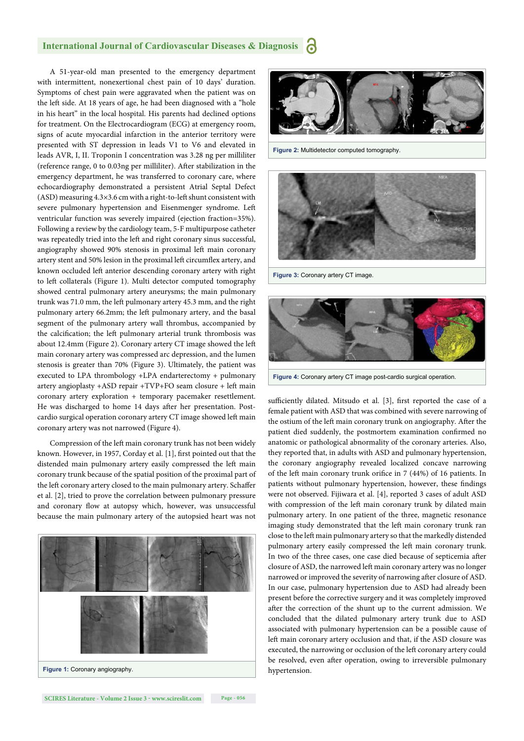#### **International Journal of Cardiovascular Diseases & Diagnosis**

A 51-year-old man presented to the emergency department with intermittent, nonexertional chest pain of 10 days' duration. Symptoms of chest pain were aggravated when the patient was on the left side. At 18 years of age, he had been diagnosed with a "hole in his heart" in the local hospital. His parents had declined options for treatment. On the Electrocardiogram (ECG) at emergency room, signs of acute myocardial infarction in the anterior territory were presented with ST depression in leads V1 to V6 and elevated in leads AVR, I, II. Troponin I concentration was 3.28 ng per milliliter (reference range,  $0$  to  $0.03$ ng per milliliter). After stabilization in the emergency department, he was transferred to coronary care, where echocardiography demonstrated a persistent Atrial Septal Defect (ASD) measuring 4.3×3.6 cm with a right-to-left shunt consistent with severe pulmonary hypertension and Eisenmenger syndrome. Left ventricular function was severely impaired (ejection fraction=35%). Following a review by the cardiology team, 5-F multipurpose catheter was repeatedly tried into the left and right coronary sinus successful, angiography showed 90% stenosis in proximal left main coronary artery stent and 50% lesion in the proximal left circumflex artery, and known occluded left anterior descending coronary artery with right to left collaterals (Figure 1). Multi detector computed tomography showed central pulmonary artery aneurysms; the main pulmonary trunk was 71.0 mm, the left pulmonary artery 45.3 mm, and the right pulmonary artery 66.2mm; the left pulmonary artery, and the basal segment of the pulmonary artery wall thrombus, accompanied by the calcification; the left pulmonary arterial trunk thrombosis was about 12.4mm (Figure 2). Coronary artery CT image showed the left main coronary artery was compressed arc depression, and the lumen stenosis is greater than 70% (Figure 3). Ultimately, the patient was executed to LPA thrombology +LPA endarterectomy + pulmonary artery angioplasty +ASD repair +TVP+FO seam closure + left main coronary artery exploration + temporary pacemaker resettlement. He was discharged to home 14 days after her presentation. Postcardio surgical operation coronary artery CT image showed left main coronary artery was not narrowed (Figure 4).

Compression of the left main coronary trunk has not been widely known. However, in 1957, Corday et al. [1], first pointed out that the distended main pulmonary artery easily compressed the left main coronary trunk because of the spatial position of the proximal part of the left coronary artery closed to the main pulmonary artery. Schaffer et al. [2], tried to prove the correlation between pulmonary pressure and coronary flow at autopsy which, however, was unsuccessful because the main pulmonary artery of the autopsied heart was not





**Figure 2:** Multidetector computed tomography.



**Figure 3:** Coronary artery CT image.



**Figure 4:** Coronary artery CT image post-cardio surgical operation.

sufficiently dilated. Mitsudo et al. [3], first reported the case of a female patient with ASD that was combined with severe narrowing of the ostium of the left main coronary trunk on angiography. After the patient died suddenly, the postmortem examination confirmed no anatomic or pathological abnormality of the coronary arteries. Also, they reported that, in adults with ASD and pulmonary hypertension, the coronary angiography revealed localized concave narrowing of the left main coronary trunk orifice in 7 (44%) of 16 patients. In patients without pulmonary hypertension, however, these findings were not observed. Fijiwara et al. [4], reported 3 cases of adult ASD with compression of the left main coronary trunk by dilated main pulmonary artery. In one patient of the three, magnetic resonance imaging study demonstrated that the left main coronary trunk ran close to the left main pulmonary artery so that the markedly distended pulmonary artery easily compressed the left main coronary trunk. In two of the three cases, one case died because of septicemia after closure of ASD, the narrowed left main coronary artery was no longer narrowed or improved the severity of narrowing after closure of ASD. In our case, pulmonary hypertension due to ASD had already been present before the corrective surgery and it was completely improved after the correction of the shunt up to the current admission. We concluded that the dilated pulmonary artery trunk due to ASD associated with pulmonary hypertension can be a possible cause of left main coronary artery occlusion and that, if the ASD closure was executed, the narrowing or occlusion of the left coronary artery could be resolved, even after operation, owing to irreversible pulmonary